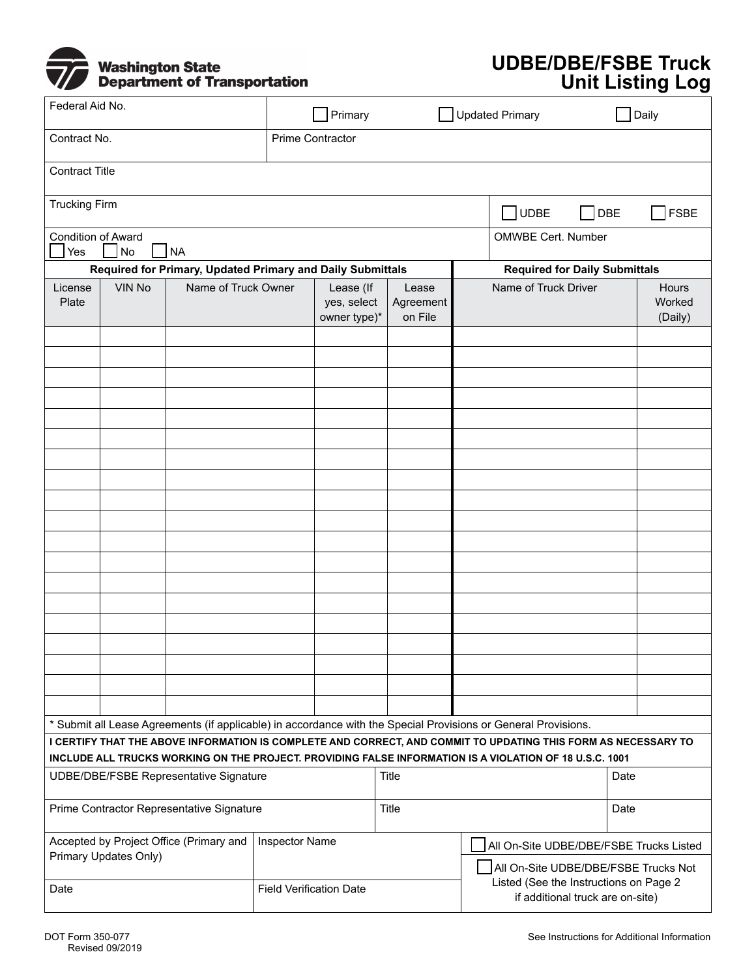

## **UDBE/DBE/FSBE Truck Unit Listing Log**

| Federal Aid No.                                                                                                                                                                                                           |                       |  |  | Primary                        |                          | Updated Primary |                                                                            |            | Daily             |  |
|---------------------------------------------------------------------------------------------------------------------------------------------------------------------------------------------------------------------------|-----------------------|--|--|--------------------------------|--------------------------|-----------------|----------------------------------------------------------------------------|------------|-------------------|--|
| Contract No.                                                                                                                                                                                                              |                       |  |  | Prime Contractor               |                          |                 |                                                                            |            |                   |  |
| <b>Contract Title</b>                                                                                                                                                                                                     |                       |  |  |                                |                          |                 |                                                                            |            |                   |  |
| <b>Trucking Firm</b>                                                                                                                                                                                                      |                       |  |  |                                |                          |                 | JUDBE                                                                      | <b>DBE</b> | <b>FSBE</b>       |  |
| <b>Condition of Award</b><br>NA<br>Yes<br>No                                                                                                                                                                              |                       |  |  |                                |                          |                 | <b>OMWBE Cert. Number</b>                                                  |            |                   |  |
| Required for Primary, Updated Primary and Daily Submittals                                                                                                                                                                |                       |  |  |                                |                          |                 | <b>Required for Daily Submittals</b>                                       |            |                   |  |
| <b>VIN No</b><br>Name of Truck Owner<br>License                                                                                                                                                                           |                       |  |  | Lease (If<br>Lease             |                          |                 | Name of Truck Driver<br><b>Hours</b>                                       |            |                   |  |
| Plate                                                                                                                                                                                                                     |                       |  |  | yes, select<br>owner type)*    | Agreement<br>on File     |                 |                                                                            |            | Worked<br>(Daily) |  |
|                                                                                                                                                                                                                           |                       |  |  |                                | $\blacktriangledown$     |                 |                                                                            |            |                   |  |
|                                                                                                                                                                                                                           |                       |  |  | ▼                              | $\overline{\phantom{a}}$ |                 |                                                                            |            |                   |  |
|                                                                                                                                                                                                                           |                       |  |  | $\blacktriangledown$           | $\blacktriangledown$     |                 |                                                                            |            |                   |  |
|                                                                                                                                                                                                                           |                       |  |  | $\blacktriangledown$           | $\blacktriangledown$     |                 |                                                                            |            |                   |  |
|                                                                                                                                                                                                                           |                       |  |  | $\overline{\phantom{0}}$       |                          |                 |                                                                            |            |                   |  |
|                                                                                                                                                                                                                           |                       |  |  | $\blacktriangledown$           | ▼                        |                 |                                                                            |            |                   |  |
|                                                                                                                                                                                                                           |                       |  |  | $\blacktriangledown$           | $\blacktriangledown$     |                 |                                                                            |            |                   |  |
|                                                                                                                                                                                                                           |                       |  |  | $\blacktriangledown$           | ▼                        |                 |                                                                            |            |                   |  |
|                                                                                                                                                                                                                           |                       |  |  | $\blacktriangledown$           | ▼                        |                 |                                                                            |            |                   |  |
|                                                                                                                                                                                                                           |                       |  |  | $\blacktriangledown$           | $\overline{\phantom{a}}$ |                 |                                                                            |            |                   |  |
|                                                                                                                                                                                                                           |                       |  |  | $\blacktriangledown$           | $\blacktriangledown$     |                 |                                                                            |            |                   |  |
|                                                                                                                                                                                                                           |                       |  |  | $\blacktriangledown$           | $\blacktriangledown$     |                 |                                                                            |            |                   |  |
|                                                                                                                                                                                                                           |                       |  |  | $\overline{\phantom{0}}$       | $\overline{\phantom{0}}$ |                 |                                                                            |            |                   |  |
|                                                                                                                                                                                                                           |                       |  |  | $\blacktriangledown$           | $\overline{\phantom{a}}$ |                 |                                                                            |            |                   |  |
|                                                                                                                                                                                                                           |                       |  |  | $\blacktriangledown$           | $\blacktriangledown$     |                 |                                                                            |            |                   |  |
|                                                                                                                                                                                                                           |                       |  |  | $\overline{\phantom{a}}$       |                          |                 |                                                                            |            |                   |  |
|                                                                                                                                                                                                                           |                       |  |  | $\blacktriangledown$           | $\blacktriangledown$     |                 |                                                                            |            |                   |  |
|                                                                                                                                                                                                                           |                       |  |  | $\blacktriangledown$           | $\blacktriangledown$     |                 |                                                                            |            |                   |  |
|                                                                                                                                                                                                                           |                       |  |  | $\blacktriangledown$           | $\overline{\phantom{0}}$ |                 |                                                                            |            |                   |  |
| * Submit all Lease Agreements (if applicable) in accordance with the Special Provisions or General Provisions.                                                                                                            |                       |  |  |                                |                          |                 |                                                                            |            |                   |  |
| I CERTIFY THAT THE ABOVE INFORMATION IS COMPLETE AND CORRECT, AND COMMIT TO UPDATING THIS FORM AS NECESSARY TO<br>INCLUDE ALL TRUCKS WORKING ON THE PROJECT. PROVIDING FALSE INFORMATION IS A VIOLATION OF 18 U.S.C. 1001 |                       |  |  |                                |                          |                 |                                                                            |            |                   |  |
| <b>UDBE/DBE/FSBE Representative Signature</b>                                                                                                                                                                             |                       |  |  |                                | Title                    |                 |                                                                            |            | Date              |  |
| Prime Contractor Representative Signature                                                                                                                                                                                 |                       |  |  |                                | Title                    |                 |                                                                            |            | Date              |  |
| Accepted by Project Office (Primary and                                                                                                                                                                                   |                       |  |  | Inspector Name                 |                          |                 | All On-Site UDBE/DBE/FSBE Trucks Listed                                    |            |                   |  |
|                                                                                                                                                                                                                           | Primary Updates Only) |  |  |                                |                          |                 | All On-Site UDBE/DBE/FSBE Trucks Not                                       |            |                   |  |
| Date                                                                                                                                                                                                                      |                       |  |  | <b>Field Verification Date</b> |                          |                 | Listed (See the Instructions on Page 2<br>if additional truck are on-site) |            |                   |  |